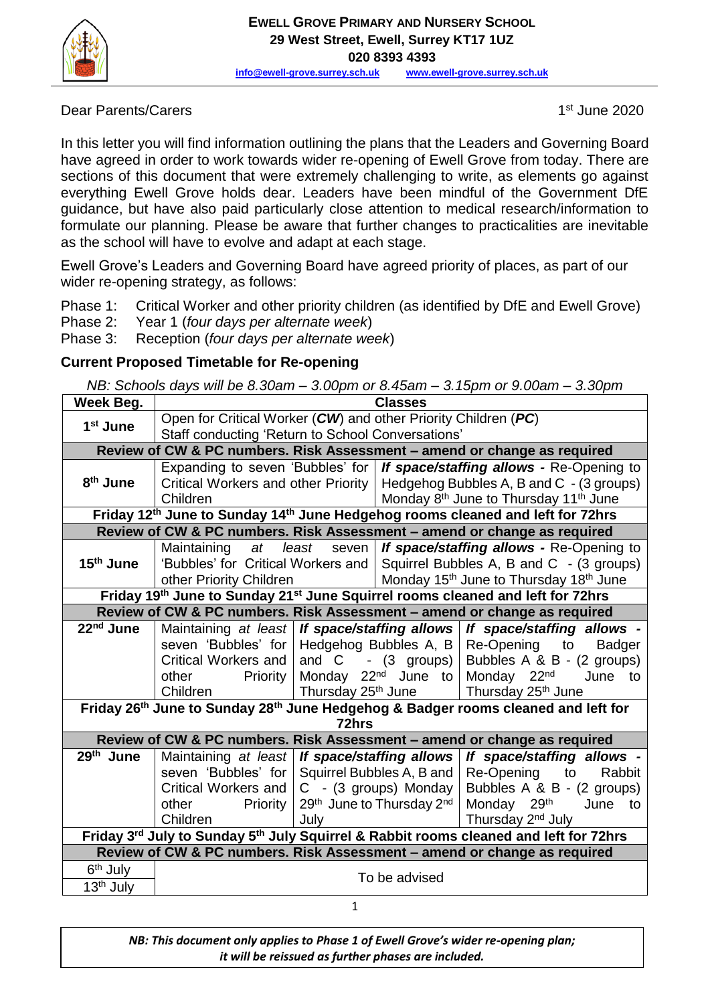

Dear Parents/Carers

 $1<sup>st</sup>$  June 2020

In this letter you will find information outlining the plans that the Leaders and Governing Board have agreed in order to work towards wider re-opening of Ewell Grove from today. There are sections of this document that were extremely challenging to write, as elements go against everything Ewell Grove holds dear. Leaders have been mindful of the Government DfE guidance, but have also paid particularly close attention to medical research/information to formulate our planning. Please be aware that further changes to practicalities are inevitable as the school will have to evolve and adapt at each stage.

Ewell Grove's Leaders and Governing Board have agreed priority of places, as part of our wider re-opening strategy, as follows:

- Phase 1: Critical Worker and other priority children (as identified by DfE and Ewell Grove)
- Phase 2: Year 1 (*four days per alternate week*)
- Phase 3: Reception (*four days per alternate week*)

### **Current Proposed Timetable for Re-opening**

|  |  |  | NB: Schools days will be 8.30am – 3.00pm or 8.45am – 3.15pm or 9.00am – 3.30pm |  |
|--|--|--|--------------------------------------------------------------------------------|--|
|--|--|--|--------------------------------------------------------------------------------|--|

| Week Beg.                                                                                                 | <b>Classes</b>                                                 |                                                             |                                                                                |                                                                               |  |  |  |
|-----------------------------------------------------------------------------------------------------------|----------------------------------------------------------------|-------------------------------------------------------------|--------------------------------------------------------------------------------|-------------------------------------------------------------------------------|--|--|--|
| 1 <sup>st</sup> June                                                                                      | Open for Critical Worker (CW) and other Priority Children (PC) |                                                             |                                                                                |                                                                               |  |  |  |
|                                                                                                           | Staff conducting 'Return to School Conversations'              |                                                             |                                                                                |                                                                               |  |  |  |
| Review of CW & PC numbers. Risk Assessment - amend or change as required                                  |                                                                |                                                             |                                                                                |                                                                               |  |  |  |
|                                                                                                           |                                                                |                                                             | Expanding to seven 'Bubbles' for   If space/staffing allows - Re-Opening to    |                                                                               |  |  |  |
| 8 <sup>th</sup> June                                                                                      |                                                                |                                                             | Critical Workers and other Priority   Hedgehog Bubbles A, B and C - (3 groups) |                                                                               |  |  |  |
|                                                                                                           | Children                                                       |                                                             | Monday 8 <sup>th</sup> June to Thursday 11 <sup>th</sup> June                  |                                                                               |  |  |  |
| Friday 12th June to Sunday 14th June Hedgehog rooms cleaned and left for 72hrs                            |                                                                |                                                             |                                                                                |                                                                               |  |  |  |
| Review of CW & PC numbers. Risk Assessment - amend or change as required                                  |                                                                |                                                             |                                                                                |                                                                               |  |  |  |
|                                                                                                           | least<br>Maintaining<br>at                                     |                                                             | seven   If space/staffing allows - Re-Opening to                               |                                                                               |  |  |  |
| $15th$ June                                                                                               |                                                                |                                                             |                                                                                | 'Bubbles' for Critical Workers and   Squirrel Bubbles A, B and C - (3 groups) |  |  |  |
|                                                                                                           | other Priority Children                                        |                                                             |                                                                                | Monday 15 <sup>th</sup> June to Thursday 18 <sup>th</sup> June                |  |  |  |
| Friday 19th June to Sunday 21st June Squirrel rooms cleaned and left for 72hrs                            |                                                                |                                                             |                                                                                |                                                                               |  |  |  |
| Review of CW & PC numbers. Risk Assessment - amend or change as required                                  |                                                                |                                                             |                                                                                |                                                                               |  |  |  |
| 22 <sup>nd</sup> June                                                                                     |                                                                |                                                             |                                                                                | Maintaining at least   If space/staffing allows   If space/staffing allows -  |  |  |  |
|                                                                                                           |                                                                | seven 'Bubbles' for   Hedgehog Bubbles A, B   Re-Opening to |                                                                                | Badger                                                                        |  |  |  |
|                                                                                                           | Critical Workers and                                           |                                                             |                                                                                | and C $-$ (3 groups)   Bubbles A & B $-$ (2 groups)                           |  |  |  |
|                                                                                                           | <b>Priority</b><br>other                                       |                                                             |                                                                                | Monday 22 <sup>nd</sup> June to Monday 22 <sup>nd</sup> June to               |  |  |  |
|                                                                                                           | Children                                                       |                                                             |                                                                                | Thursday $25th$ June   Thursday $25th$ June                                   |  |  |  |
| Friday 26 <sup>th</sup> June to Sunday 28 <sup>th</sup> June Hedgehog & Badger rooms cleaned and left for |                                                                |                                                             |                                                                                |                                                                               |  |  |  |
| 72hrs                                                                                                     |                                                                |                                                             |                                                                                |                                                                               |  |  |  |
|                                                                                                           |                                                                |                                                             |                                                                                | Review of CW & PC numbers. Risk Assessment - amend or change as required      |  |  |  |
| 29th June                                                                                                 | Maintaining at least   If space/staffing allows                |                                                             |                                                                                | If space/staffing allows -                                                    |  |  |  |
|                                                                                                           | seven 'Bubbles' for Squirrel Bubbles A, B and                  |                                                             |                                                                                | Re-Opening to<br>Rabbit                                                       |  |  |  |
|                                                                                                           | Critical Workers and                                           |                                                             | C - (3 groups) Monday                                                          | Bubbles A & B - (2 groups)                                                    |  |  |  |
|                                                                                                           | other<br><b>Priority</b>                                       |                                                             | 29th June to Thursday 2nd                                                      | Monday 29 <sup>th</sup> June to                                               |  |  |  |
|                                                                                                           | Children                                                       | July                                                        |                                                                                | Thursday 2 <sup>nd</sup> July                                                 |  |  |  |
| Friday 3rd July to Sunday 5th July Squirrel & Rabbit rooms cleaned and left for 72hrs                     |                                                                |                                                             |                                                                                |                                                                               |  |  |  |
| Review of CW & PC numbers. Risk Assessment - amend or change as required                                  |                                                                |                                                             |                                                                                |                                                                               |  |  |  |
| 6 <sup>th</sup> July                                                                                      | To be advised                                                  |                                                             |                                                                                |                                                                               |  |  |  |
| 13 <sup>th</sup> July                                                                                     |                                                                |                                                             |                                                                                |                                                                               |  |  |  |

1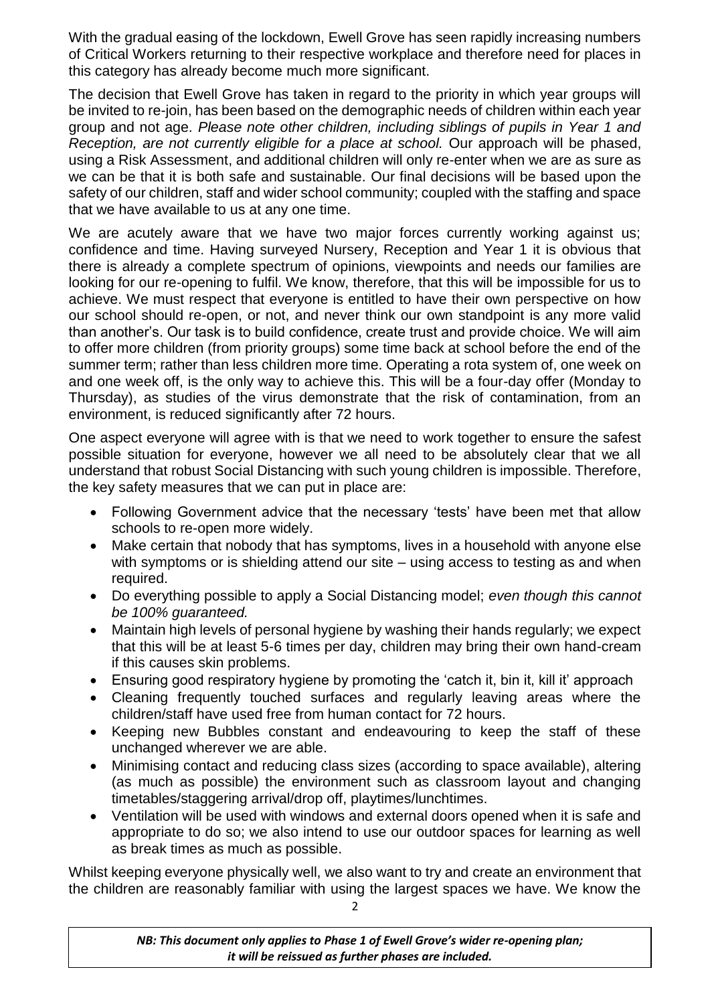With the gradual easing of the lockdown, Ewell Grove has seen rapidly increasing numbers of Critical Workers returning to their respective workplace and therefore need for places in this category has already become much more significant.

The decision that Ewell Grove has taken in regard to the priority in which year groups will be invited to re-join, has been based on the demographic needs of children within each year group and not age. *Please note other children, including siblings of pupils in Year 1 and Reception, are not currently eligible for a place at school.* Our approach will be phased, using a Risk Assessment, and additional children will only re-enter when we are as sure as we can be that it is both safe and sustainable. Our final decisions will be based upon the safety of our children, staff and wider school community; coupled with the staffing and space that we have available to us at any one time.

We are acutely aware that we have two major forces currently working against us; confidence and time. Having surveyed Nursery, Reception and Year 1 it is obvious that there is already a complete spectrum of opinions, viewpoints and needs our families are looking for our re-opening to fulfil. We know, therefore, that this will be impossible for us to achieve. We must respect that everyone is entitled to have their own perspective on how our school should re-open, or not, and never think our own standpoint is any more valid than another's. Our task is to build confidence, create trust and provide choice. We will aim to offer more children (from priority groups) some time back at school before the end of the summer term; rather than less children more time. Operating a rota system of, one week on and one week off, is the only way to achieve this. This will be a four-day offer (Monday to Thursday), as studies of the virus demonstrate that the risk of contamination, from an environment, is reduced significantly after 72 hours.

One aspect everyone will agree with is that we need to work together to ensure the safest possible situation for everyone, however we all need to be absolutely clear that we all understand that robust Social Distancing with such young children is impossible. Therefore, the key safety measures that we can put in place are:

- Following Government advice that the necessary 'tests' have been met that allow schools to re-open more widely.
- Make certain that nobody that has symptoms, lives in a household with anyone else with symptoms or is shielding attend our site – using access to testing as and when required.
- Do everything possible to apply a Social Distancing model; *even though this cannot be 100% guaranteed.*
- Maintain high levels of personal hygiene by washing their hands regularly; we expect that this will be at least 5-6 times per day, children may bring their own hand-cream if this causes skin problems.
- Ensuring good respiratory hygiene by promoting the 'catch it, bin it, kill it' approach
- Cleaning frequently touched surfaces and regularly leaving areas where the children/staff have used free from human contact for 72 hours.
- Keeping new Bubbles constant and endeavouring to keep the staff of these unchanged wherever we are able.
- Minimising contact and reducing class sizes (according to space available), altering (as much as possible) the environment such as classroom layout and changing timetables/staggering arrival/drop off, playtimes/lunchtimes.
- Ventilation will be used with windows and external doors opened when it is safe and appropriate to do so; we also intend to use our outdoor spaces for learning as well as break times as much as possible.

Whilst keeping everyone physically well, we also want to try and create an environment that the children are reasonably familiar with using the largest spaces we have. We know the

2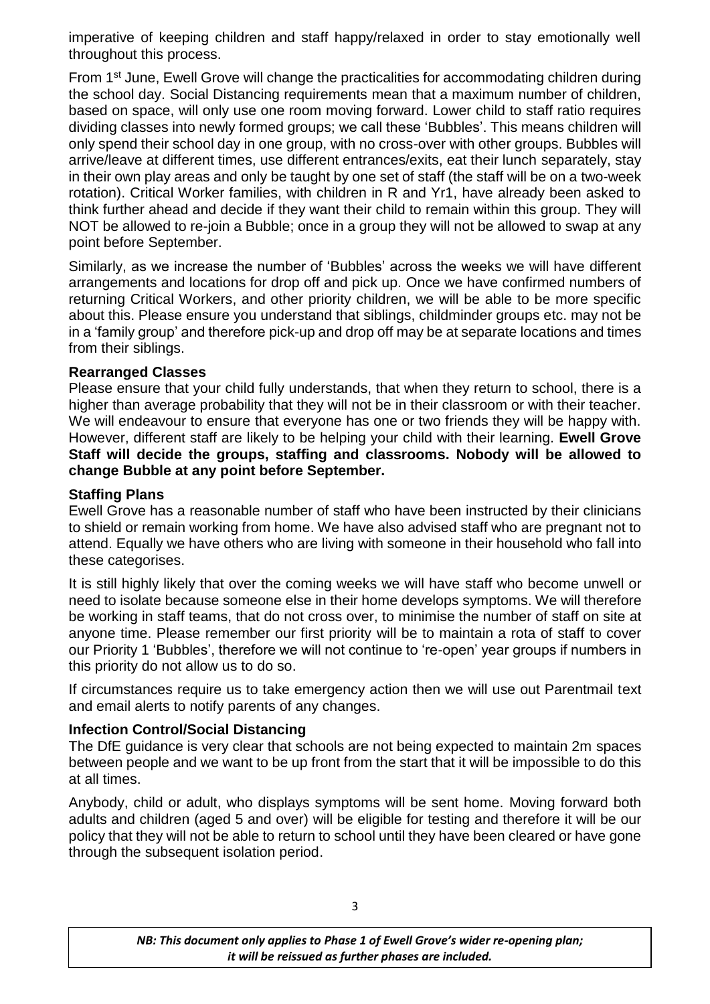imperative of keeping children and staff happy/relaxed in order to stay emotionally well throughout this process.

From 1<sup>st</sup> June, Ewell Grove will change the practicalities for accommodating children during the school day. Social Distancing requirements mean that a maximum number of children, based on space, will only use one room moving forward. Lower child to staff ratio requires dividing classes into newly formed groups; we call these 'Bubbles'. This means children will only spend their school day in one group, with no cross-over with other groups. Bubbles will arrive/leave at different times, use different entrances/exits, eat their lunch separately, stay in their own play areas and only be taught by one set of staff (the staff will be on a two-week rotation). Critical Worker families, with children in R and Yr1, have already been asked to think further ahead and decide if they want their child to remain within this group. They will NOT be allowed to re-join a Bubble; once in a group they will not be allowed to swap at any point before September.

Similarly, as we increase the number of 'Bubbles' across the weeks we will have different arrangements and locations for drop off and pick up. Once we have confirmed numbers of returning Critical Workers, and other priority children, we will be able to be more specific about this. Please ensure you understand that siblings, childminder groups etc. may not be in a 'family group' and therefore pick-up and drop off may be at separate locations and times from their siblings.

#### **Rearranged Classes**

Please ensure that your child fully understands, that when they return to school, there is a higher than average probability that they will not be in their classroom or with their teacher. We will endeavour to ensure that everyone has one or two friends they will be happy with. However, different staff are likely to be helping your child with their learning. **Ewell Grove Staff will decide the groups, staffing and classrooms. Nobody will be allowed to change Bubble at any point before September.**

#### **Staffing Plans**

Ewell Grove has a reasonable number of staff who have been instructed by their clinicians to shield or remain working from home. We have also advised staff who are pregnant not to attend. Equally we have others who are living with someone in their household who fall into these categorises.

It is still highly likely that over the coming weeks we will have staff who become unwell or need to isolate because someone else in their home develops symptoms. We will therefore be working in staff teams, that do not cross over, to minimise the number of staff on site at anyone time. Please remember our first priority will be to maintain a rota of staff to cover our Priority 1 'Bubbles', therefore we will not continue to 're-open' year groups if numbers in this priority do not allow us to do so.

If circumstances require us to take emergency action then we will use out Parentmail text and email alerts to notify parents of any changes.

#### **Infection Control/Social Distancing**

The DfE guidance is very clear that schools are not being expected to maintain 2m spaces between people and we want to be up front from the start that it will be impossible to do this at all times.

Anybody, child or adult, who displays symptoms will be sent home. Moving forward both adults and children (aged 5 and over) will be eligible for testing and therefore it will be our policy that they will not be able to return to school until they have been cleared or have gone through the subsequent isolation period.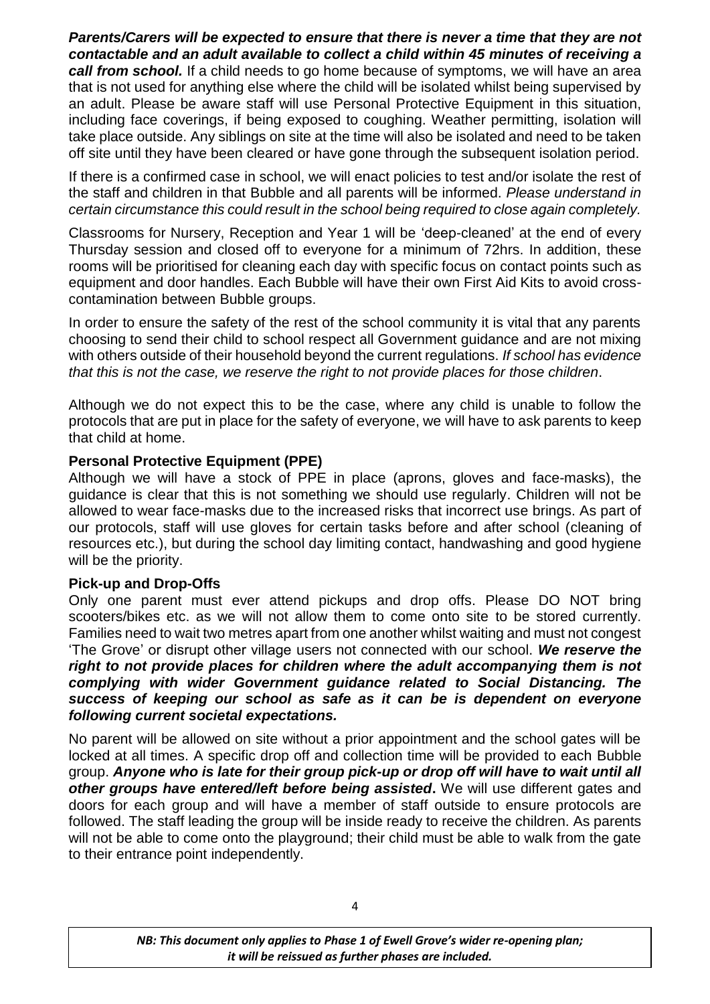#### *Parents/Carers will be expected to ensure that there is never a time that they are not contactable and an adult available to collect a child within 45 minutes of receiving a*

*call from school.* If a child needs to go home because of symptoms, we will have an area that is not used for anything else where the child will be isolated whilst being supervised by an adult. Please be aware staff will use Personal Protective Equipment in this situation, including face coverings, if being exposed to coughing. Weather permitting, isolation will take place outside. Any siblings on site at the time will also be isolated and need to be taken off site until they have been cleared or have gone through the subsequent isolation period.

If there is a confirmed case in school, we will enact policies to test and/or isolate the rest of the staff and children in that Bubble and all parents will be informed. *Please understand in certain circumstance this could result in the school being required to close again completely.*

Classrooms for Nursery, Reception and Year 1 will be 'deep-cleaned' at the end of every Thursday session and closed off to everyone for a minimum of 72hrs. In addition, these rooms will be prioritised for cleaning each day with specific focus on contact points such as equipment and door handles. Each Bubble will have their own First Aid Kits to avoid crosscontamination between Bubble groups.

In order to ensure the safety of the rest of the school community it is vital that any parents choosing to send their child to school respect all Government guidance and are not mixing with others outside of their household beyond the current regulations. *If school has evidence that this is not the case, we reserve the right to not provide places for those children*.

Although we do not expect this to be the case, where any child is unable to follow the protocols that are put in place for the safety of everyone, we will have to ask parents to keep that child at home.

#### **Personal Protective Equipment (PPE)**

Although we will have a stock of PPE in place (aprons, gloves and face-masks), the guidance is clear that this is not something we should use regularly. Children will not be allowed to wear face-masks due to the increased risks that incorrect use brings. As part of our protocols, staff will use gloves for certain tasks before and after school (cleaning of resources etc.), but during the school day limiting contact, handwashing and good hygiene will be the priority.

### **Pick-up and Drop-Offs**

Only one parent must ever attend pickups and drop offs. Please DO NOT bring scooters/bikes etc. as we will not allow them to come onto site to be stored currently. Families need to wait two metres apart from one another whilst waiting and must not congest 'The Grove' or disrupt other village users not connected with our school. *We reserve the*  right to not provide places for children where the adult accompanying them is not *complying with wider Government guidance related to Social Distancing. The success of keeping our school as safe as it can be is dependent on everyone following current societal expectations.*

No parent will be allowed on site without a prior appointment and the school gates will be locked at all times. A specific drop off and collection time will be provided to each Bubble group. *Anyone who is late for their group pick-up or drop off will have to wait until all other groups have entered/left before being assisted***.** We will use different gates and doors for each group and will have a member of staff outside to ensure protocols are followed. The staff leading the group will be inside ready to receive the children. As parents will not be able to come onto the playground; their child must be able to walk from the gate to their entrance point independently.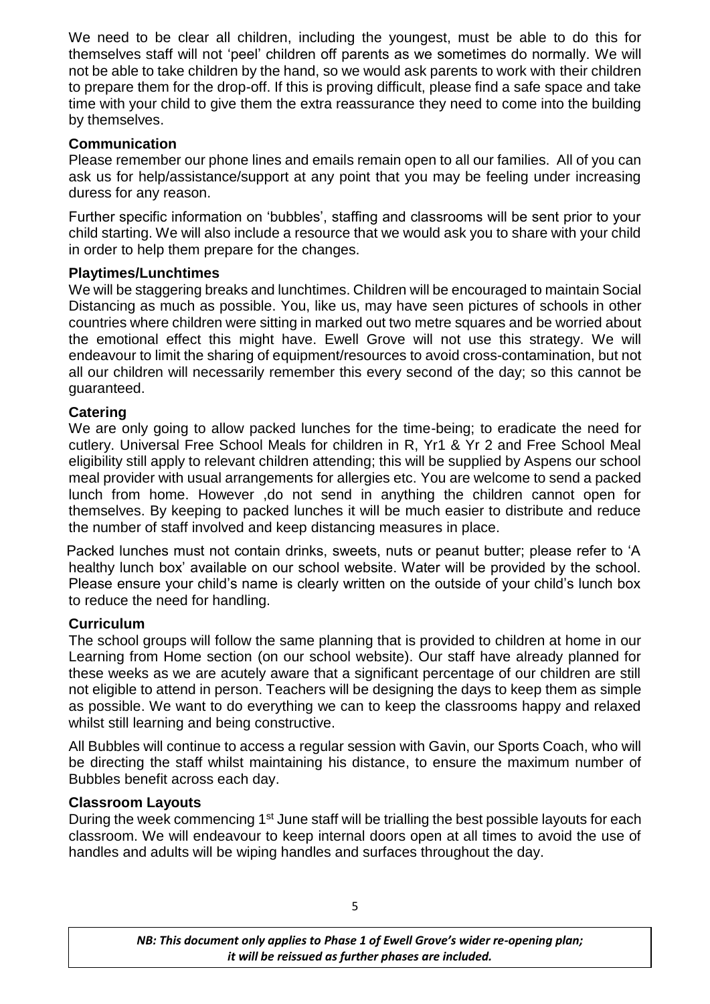We need to be clear all children, including the youngest, must be able to do this for themselves staff will not 'peel' children off parents as we sometimes do normally. We will not be able to take children by the hand, so we would ask parents to work with their children to prepare them for the drop-off. If this is proving difficult, please find a safe space and take time with your child to give them the extra reassurance they need to come into the building by themselves.

# **Communication**

Please remember our phone lines and emails remain open to all our families. All of you can ask us for help/assistance/support at any point that you may be feeling under increasing duress for any reason.

Further specific information on 'bubbles', staffing and classrooms will be sent prior to your child starting. We will also include a resource that we would ask you to share with your child in order to help them prepare for the changes.

### **Playtimes/Lunchtimes**

We will be staggering breaks and lunchtimes. Children will be encouraged to maintain Social Distancing as much as possible. You, like us, may have seen pictures of schools in other countries where children were sitting in marked out two metre squares and be worried about the emotional effect this might have. Ewell Grove will not use this strategy. We will endeavour to limit the sharing of equipment/resources to avoid cross-contamination, but not all our children will necessarily remember this every second of the day; so this cannot be guaranteed.

# **Catering**

We are only going to allow packed lunches for the time-being; to eradicate the need for cutlery. Universal Free School Meals for children in R, Yr1 & Yr 2 and Free School Meal eligibility still apply to relevant children attending; this will be supplied by Aspens our school meal provider with usual arrangements for allergies etc. You are welcome to send a packed lunch from home. However ,do not send in anything the children cannot open for themselves. By keeping to packed lunches it will be much easier to distribute and reduce the number of staff involved and keep distancing measures in place.

Packed lunches must not contain drinks, sweets, nuts or peanut butter; please refer to 'A healthy lunch box' available on our school website. Water will be provided by the school. Please ensure your child's name is clearly written on the outside of your child's lunch box to reduce the need for handling.

### **Curriculum**

The school groups will follow the same planning that is provided to children at home in our Learning from Home section (on our school website). Our staff have already planned for these weeks as we are acutely aware that a significant percentage of our children are still not eligible to attend in person. Teachers will be designing the days to keep them as simple as possible. We want to do everything we can to keep the classrooms happy and relaxed whilst still learning and being constructive.

All Bubbles will continue to access a regular session with Gavin, our Sports Coach, who will be directing the staff whilst maintaining his distance, to ensure the maximum number of Bubbles benefit across each day.

### **Classroom Layouts**

During the week commencing 1<sup>st</sup> June staff will be trialling the best possible layouts for each classroom. We will endeavour to keep internal doors open at all times to avoid the use of handles and adults will be wiping handles and surfaces throughout the day.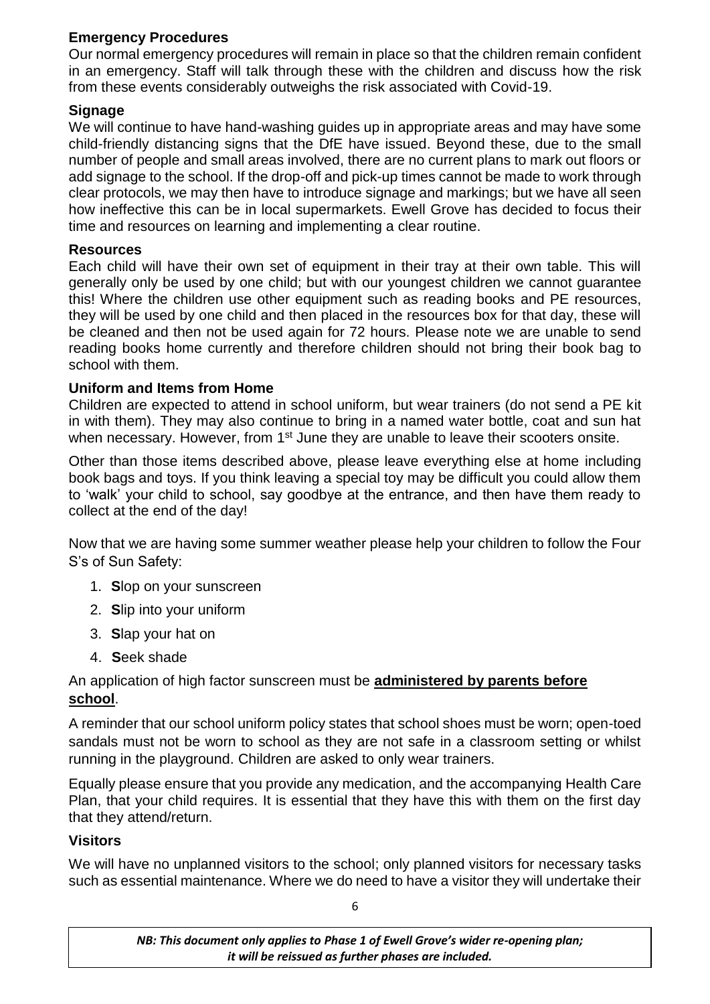### **Emergency Procedures**

Our normal emergency procedures will remain in place so that the children remain confident in an emergency. Staff will talk through these with the children and discuss how the risk from these events considerably outweighs the risk associated with Covid-19.

### **Signage**

We will continue to have hand-washing guides up in appropriate areas and may have some child-friendly distancing signs that the DfE have issued. Beyond these, due to the small number of people and small areas involved, there are no current plans to mark out floors or add signage to the school. If the drop-off and pick-up times cannot be made to work through clear protocols, we may then have to introduce signage and markings; but we have all seen how ineffective this can be in local supermarkets. Ewell Grove has decided to focus their time and resources on learning and implementing a clear routine.

#### **Resources**

Each child will have their own set of equipment in their tray at their own table. This will generally only be used by one child; but with our youngest children we cannot guarantee this! Where the children use other equipment such as reading books and PE resources, they will be used by one child and then placed in the resources box for that day, these will be cleaned and then not be used again for 72 hours. Please note we are unable to send reading books home currently and therefore children should not bring their book bag to school with them.

### **Uniform and Items from Home**

Children are expected to attend in school uniform, but wear trainers (do not send a PE kit in with them). They may also continue to bring in a named water bottle, coat and sun hat when necessary. However, from 1<sup>st</sup> June they are unable to leave their scooters onsite.

Other than those items described above, please leave everything else at home including book bags and toys. If you think leaving a special toy may be difficult you could allow them to 'walk' your child to school, say goodbye at the entrance, and then have them ready to collect at the end of the day!

Now that we are having some summer weather please help your children to follow the Four S's of Sun Safety:

- 1. **S**lop on your sunscreen
- 2. **S**lip into your uniform
- 3. **S**lap your hat on
- 4. **S**eek shade

### An application of high factor sunscreen must be **administered by parents before school**.

A reminder that our school uniform policy states that school shoes must be worn; open-toed sandals must not be worn to school as they are not safe in a classroom setting or whilst running in the playground. Children are asked to only wear trainers.

Equally please ensure that you provide any medication, and the accompanying Health Care Plan, that your child requires. It is essential that they have this with them on the first day that they attend/return.

### **Visitors**

We will have no unplanned visitors to the school; only planned visitors for necessary tasks such as essential maintenance. Where we do need to have a visitor they will undertake their